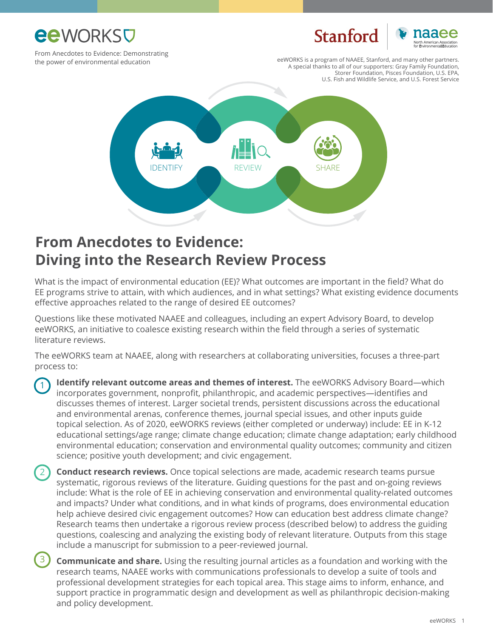

3

# Stanford



From Anecdotes to Evidence: Demonstrating the power of environmental education

eeWORKS is a program of NAAEE, Stanford, and many other partners. A special thanks to all of our supporters: Gray Family Foundation, Storer Foundation, Pisces Foundation, U.S. EPA, U.S. Fish and Wildlife Service, and U.S. Forest Service



### **From Anecdotes to Evidence: Diving into the Research Review Process**

What is the impact of environmental education (EE)? What outcomes are important in the field? What do EE programs strive to attain, with which audiences, and in what settings? What existing evidence documents effective approaches related to the range of desired EE outcomes?

Questions like these motivated NAAEE and colleagues, including an expert Advisory Board, to develop eeWORKS, an initiative to coalesce existing research within the field through a series of systematic literature reviews.

The eeWORKS team at NAAEE, along with researchers at collaborating universities, focuses a three-part process to:

**Identify relevant outcome areas and themes of interest.** The eeWORKS Advisory Board—which incorporates government, nonprofit, philanthropic, and academic perspectives—identifies and discusses themes of interest. Larger societal trends, persistent discussions across the educational and environmental arenas, conference themes, journal special issues, and other inputs guide topical selection. As of 2020, eeWORKS reviews (either completed or underway) include: EE in K-12 educational settings/age range; climate change education; climate change adaptation; early childhood environmental education; conservation and environmental quality outcomes; community and citizen science; positive youth development; and civic engagement. 1

 **Conduct research reviews.** Once topical selections are made, academic research teams pursue systematic, rigorous reviews of the literature. Guiding questions for the past and on-going reviews include: What is the role of EE in achieving conservation and environmental quality-related outcomes and impacts? Under what conditions, and in what kinds of programs, does environmental education help achieve desired civic engagement outcomes? How can education best address climate change? Research teams then undertake a rigorous review process (described below) to address the guiding questions, coalescing and analyzing the existing body of relevant literature. Outputs from this stage include a manuscript for submission to a peer-reviewed journal. 2

 **Communicate and share.** Using the resulting journal articles as a foundation and working with the research teams, NAAEE works with communications professionals to develop a suite of tools and professional development strategies for each topical area. This stage aims to inform, enhance, and support practice in programmatic design and development as well as philanthropic decision-making and policy development.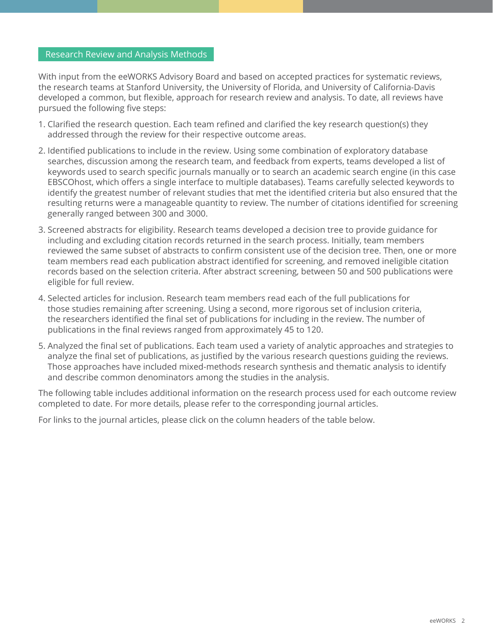#### Research Review and Analysis Methods

With input from the eeWORKS Advisory Board and based on accepted practices for systematic reviews, the research teams at Stanford University, the University of Florida, and University of California-Davis developed a common, but flexible, approach for research review and analysis. To date, all reviews have pursued the following five steps:

- 1. Clarified the research question. Each team refined and clarified the key research question(s) they addressed through the review for their respective outcome areas.
- 2. Identified publications to include in the review. Using some combination of exploratory database searches, discussion among the research team, and feedback from experts, teams developed a list of keywords used to search specific journals manually or to search an academic search engine (in this case EBSCOhost, which offers a single interface to multiple databases). Teams carefully selected keywords to identify the greatest number of relevant studies that met the identified criteria but also ensured that the resulting returns were a manageable quantity to review. The number of citations identified for screening generally ranged between 300 and 3000.
- 3. Screened abstracts for eligibility. Research teams developed a decision tree to provide guidance for including and excluding citation records returned in the search process. Initially, team members reviewed the same subset of abstracts to confirm consistent use of the decision tree. Then, one or more team members read each publication abstract identified for screening, and removed ineligible citation records based on the selection criteria. After abstract screening, between 50 and 500 publications were eligible for full review.
- 4. Selected articles for inclusion. Research team members read each of the full publications for those studies remaining after screening. Using a second, more rigorous set of inclusion criteria, the researchers identified the final set of publications for including in the review. The number of publications in the final reviews ranged from approximately 45 to 120.
- 5. Analyzed the final set of publications. Each team used a variety of analytic approaches and strategies to analyze the final set of publications, as justified by the various research questions guiding the reviews. Those approaches have included mixed-methods research synthesis and thematic analysis to identify and describe common denominators among the studies in the analysis.

The following table includes additional information on the research process used for each outcome review completed to date. For more details, please refer to the corresponding journal articles.

For links to the journal articles, please click on the column headers of the table below.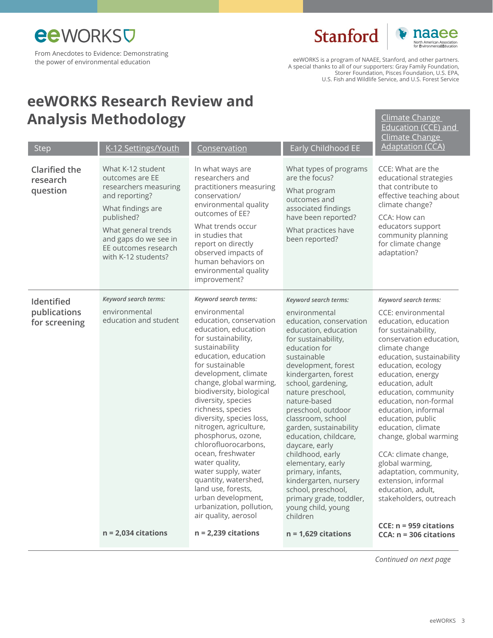**Stanford** 



[Climate Change](https://www.tandfonline.com/doi/abs/10.1080/13504622.2017.1360842)  Education (CCE) and

eeWORKS is a program of NAAEE, Stanford, and other partners. A special thanks to all of our supporters: Gray Family Foundation, Storer Foundation, Pisces Foundation, U.S. EPA, U.S. Fish and Wildlife Service, and U.S. Forest Service

## **eeWORKS Research Review and Analysis Methodology**

| <b>Step</b>                                  | K-12 Settings/Youth                                                                                                                                                                                               | Conservation                                                                                                                                                                                                                                                                                                                                                                                                                                                                                                                                                                                      | Early Childhood EE                                                                                                                                                                                                                                                                                                                                                                                                                                                                                                                                   | <b>Climate Change</b><br><b>Adaptation (CCA)</b>                                                                                                                                                                                                                                                                                                                                                                                                                                                                            |
|----------------------------------------------|-------------------------------------------------------------------------------------------------------------------------------------------------------------------------------------------------------------------|---------------------------------------------------------------------------------------------------------------------------------------------------------------------------------------------------------------------------------------------------------------------------------------------------------------------------------------------------------------------------------------------------------------------------------------------------------------------------------------------------------------------------------------------------------------------------------------------------|------------------------------------------------------------------------------------------------------------------------------------------------------------------------------------------------------------------------------------------------------------------------------------------------------------------------------------------------------------------------------------------------------------------------------------------------------------------------------------------------------------------------------------------------------|-----------------------------------------------------------------------------------------------------------------------------------------------------------------------------------------------------------------------------------------------------------------------------------------------------------------------------------------------------------------------------------------------------------------------------------------------------------------------------------------------------------------------------|
| <b>Clarified the</b><br>research<br>question | What K-12 student<br>outcomes are EE<br>researchers measuring<br>and reporting?<br>What findings are<br>published?<br>What general trends<br>and gaps do we see in<br>EE outcomes research<br>with K-12 students? | In what ways are<br>researchers and<br>practitioners measuring<br>conservation/<br>environmental quality<br>outcomes of EE?<br>What trends occur<br>in studies that<br>report on directly<br>observed impacts of<br>human behaviors on<br>environmental quality<br>improvement?                                                                                                                                                                                                                                                                                                                   | What types of programs<br>are the focus?<br>What program<br>outcomes and<br>associated findings<br>have been reported?<br>What practices have<br>been reported?                                                                                                                                                                                                                                                                                                                                                                                      | CCE: What are the<br>educational strategies<br>that contribute to<br>effective teaching about<br>climate change?<br>CCA: How can<br>educators support<br>community planning<br>for climate change<br>adaptation?                                                                                                                                                                                                                                                                                                            |
| Identified<br>publications<br>for screening  | Keyword search terms:<br>environmental<br>education and student                                                                                                                                                   | Keyword search terms:<br>environmental<br>education, conservation<br>education, education<br>for sustainability,<br>sustainability<br>education, education<br>for sustainable<br>development, climate<br>change, global warming,<br>biodiversity, biological<br>diversity, species<br>richness, species<br>diversity, species loss,<br>nitrogen, agriculture,<br>phosphorus, ozone,<br>chlorofluorocarbons,<br>ocean, freshwater<br>water quality,<br>water supply, water<br>quantity, watershed,<br>land use, forests,<br>urban development,<br>urbanization, pollution,<br>air quality, aerosol | Keyword search terms:<br>environmental<br>education, conservation<br>education, education<br>for sustainability,<br>education for<br>sustainable<br>development, forest<br>kindergarten, forest<br>school, gardening,<br>nature preschool,<br>nature-based<br>preschool, outdoor<br>classroom, school<br>garden, sustainability<br>education, childcare,<br>daycare, early<br>childhood, early<br>elementary, early<br>primary, infants,<br>kindergarten, nursery<br>school, preschool,<br>primary grade, toddler,<br>young child, young<br>children | Keyword search terms:<br>CCE: environmental<br>education, education<br>for sustainability,<br>conservation education,<br>climate change<br>education, sustainability<br>education, ecology<br>education, energy<br>education, adult<br>education, community<br>education, non-formal<br>education, informal<br>education, public<br>education, climate<br>change, global warming<br>CCA: climate change,<br>global warming,<br>adaptation, community,<br>extension, informal<br>education, adult,<br>stakeholders, outreach |
|                                              | $n = 2,034$ citations                                                                                                                                                                                             | $n = 2,239$ citations                                                                                                                                                                                                                                                                                                                                                                                                                                                                                                                                                                             | $n = 1,629$ citations                                                                                                                                                                                                                                                                                                                                                                                                                                                                                                                                | CCE: n = 959 citations<br>$CCA: n = 306 citations$                                                                                                                                                                                                                                                                                                                                                                                                                                                                          |

*Continued on next page*